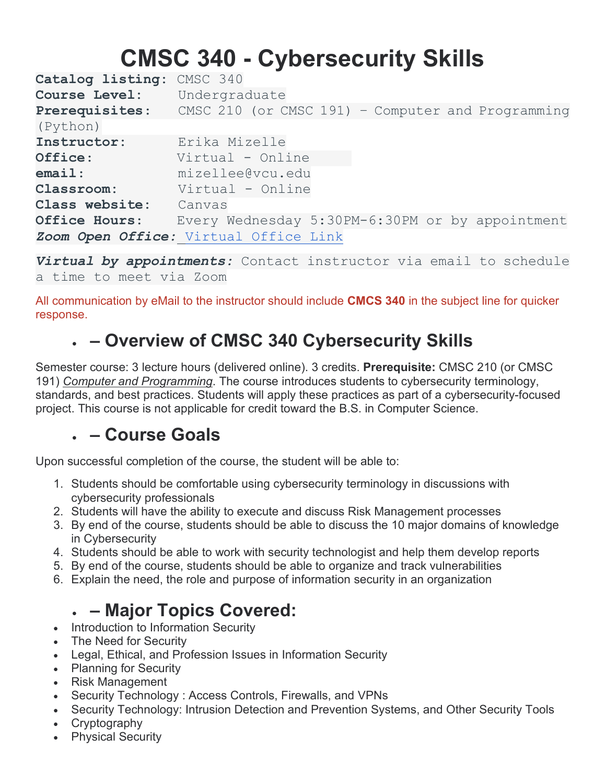# **CMSC 340 - Cybersecurity Skills**

**Catalog listing:** CMSC 340 **Course Level:** Undergraduate **Prerequisites**: CMSC 210 (or CMSC 191) – Computer and Programming (Python) **Instructor:** Erika Mizelle<br> **Office:** Virtual - Onl **Office**: Virtual - Online **email**: mizellee@vcu.edu **Classroom:** Virtual - Online **Class website:** Canvas **Office Hours**: Every Wednesday 5:30PM-6:30PM or by appointment *Zoom Open Office:* [Virtual Office Link](about:blank)

*Virtual by appointments:* Contact instructor via email to schedule a time to meet via Zoom

All communication by eMail to the instructor should include **CMCS 340** in the subject line for quicker response.

# • **– Overview of CMSC 340 Cybersecurity Skills**

Semester course: 3 lecture hours (delivered online). 3 credits. **Prerequisite:** CMSC 210 (or CMSC 191) *Computer and Programming*. The course introduces students to cybersecurity terminology, standards, and best practices. Students will apply these practices as part of a cybersecurity-focused project. This course is not applicable for credit toward the B.S. in Computer Science.

# • **– Course Goals**

Upon successful completion of the course, the student will be able to:

- 1. Students should be comfortable using cybersecurity terminology in discussions with cybersecurity professionals
- 2. Students will have the ability to execute and discuss Risk Management processes
- 3. By end of the course, students should be able to discuss the 10 major domains of knowledge in Cybersecurity
- 4. Students should be able to work with security technologist and help them develop reports
- 5. By end of the course, students should be able to organize and track vulnerabilities
- 6. Explain the need, the role and purpose of information security in an organization

# • **– Major Topics Covered:**

- Introduction to Information Security
- The Need for Security
- Legal, Ethical, and Profession Issues in Information Security
- Planning for Security
- Risk Management
- Security Technology : Access Controls, Firewalls, and VPNs
- Security Technology: Intrusion Detection and Prevention Systems, and Other Security Tools
- **Cryptography**
- **Physical Security**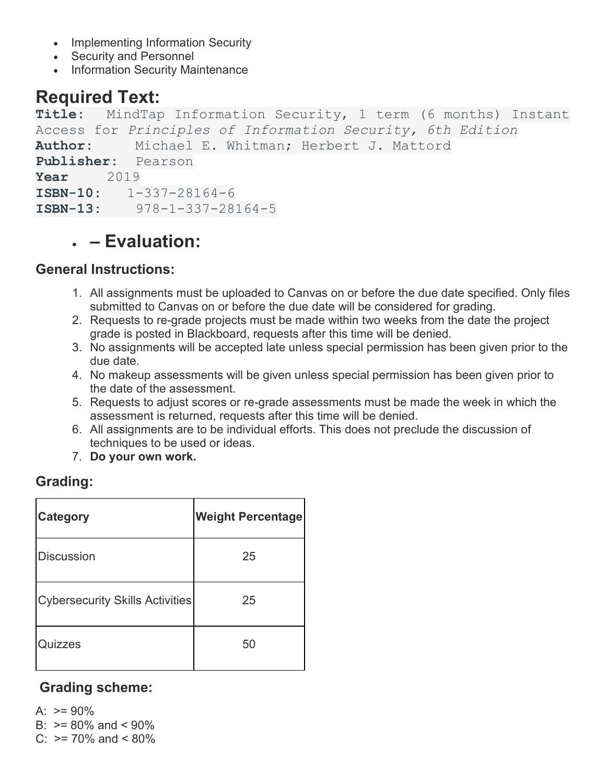- Implementing Information Security
- Security and Personnel
- Information Security Maintenance

# **Required Text:**

**Title:** MindTap Information Security, 1 term (6 months) Instant Access for *Principles of Information Security, 6th Edition* Author: Michael E. Whitman; Herbert J. Mattord **Publisher:** Pearson **Year** 2019 **ISBN-10:** 1-337-28164-6 **ISBN-13:** 978-1-337-28164-5

# • **– Evaluation:**

#### **General Instructions:**

- 1. All assignments must be uploaded to Canvas on or before the due date specified. Only files submitted to Canvas on or before the due date will be considered for grading.
- 2. Requests to re-grade projects must be made within two weeks from the date the project grade is posted in Blackboard, requests after this time will be denied.
- 3. No assignments will be accepted late unless special permission has been given prior to the due date.
- 4. No makeup assessments will be given unless special permission has been given prior to the date of the assessment.
- 5. Requests to adjust scores or re-grade assessments must be made the week in which the assessment is returned, requests after this time will be denied.
- 6. All assignments are to be individual efforts. This does not preclude the discussion of techniques to be used or ideas.
- 7. **Do your own work.**

#### **Grading:**

| <b>Category</b>                        | <b>Weight Percentage</b> |
|----------------------------------------|--------------------------|
| <b>Discussion</b>                      | 25                       |
| <b>Cybersecurity Skills Activities</b> | 25                       |
| Quizzes                                | 50                       |

#### **Grading scheme:**

A:  $>= 90\%$ 

B:  $> = 80\%$  and  $< 90\%$ 

 $C: \ \geq 70\%$  and  $\leq 80\%$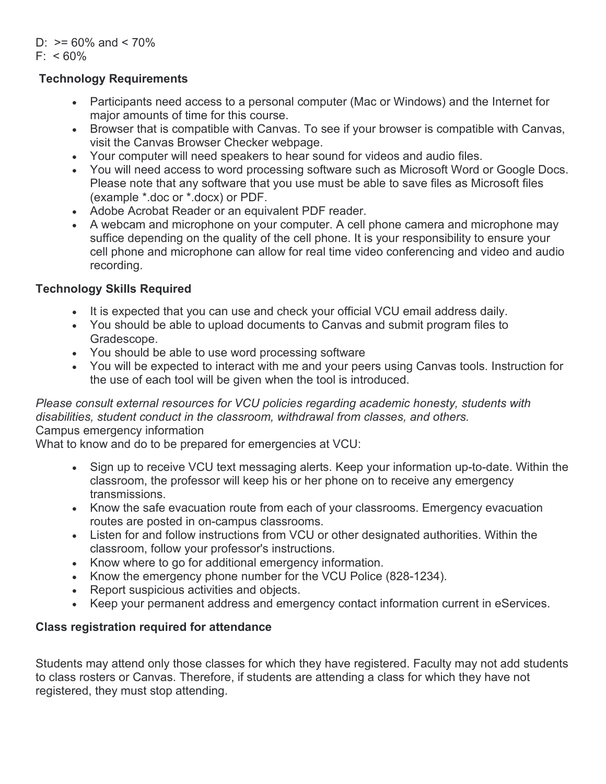D:  $>= 60\%$  and  $< 70\%$  $F' < 60\%$ 

#### **Technology Requirements**

- Participants need access to a personal computer (Mac or Windows) and the Internet for major amounts of time for this course.
- Browser that is compatible with Canvas. To see if your browser is compatible with Canvas, visit the Canvas Browser Checker webpage.
- Your computer will need speakers to hear sound for videos and audio files.
- You will need access to word processing software such as Microsoft Word or Google Docs. Please note that any software that you use must be able to save files as Microsoft files (example \*.doc or \*.docx) or PDF.
- Adobe Acrobat Reader or an equivalent PDF reader.
- A webcam and microphone on your computer. A cell phone camera and microphone may suffice depending on the quality of the cell phone. It is your responsibility to ensure your cell phone and microphone can allow for real time video conferencing and video and audio recording.

#### **Technology Skills Required**

- It is expected that you can use and check your official VCU email address daily.
- You should be able to upload documents to Canvas and submit program files to Gradescope.
- You should be able to use word processing software
- You will be expected to interact with me and your peers using Canvas tools. Instruction for the use of each tool will be given when the tool is introduced.

#### *Please consult external resources for VCU policies regarding academic honesty, students with disabilities, student conduct in the classroom, withdrawal from classes, and others.* Campus emergency information

What to know and do to be prepared for emergencies at VCU:

- Sign up to receive VCU text messaging alerts. Keep your information up-to-date. Within the classroom, the professor will keep his or her phone on to receive any emergency transmissions.
- Know the safe evacuation route from each of your classrooms. Emergency evacuation routes are posted in on-campus classrooms.
- Listen for and follow instructions from VCU or other designated authorities. Within the classroom, follow your professor's instructions.
- Know where to go for additional emergency information.
- Know the emergency phone number for the VCU Police (828-1234).
- Report suspicious activities and objects.
- Keep your permanent address and emergency contact information current in eServices.

#### **Class registration required for attendance**

Students may attend only those classes for which they have registered. Faculty may not add students to class rosters or Canvas. Therefore, if students are attending a class for which they have not registered, they must stop attending.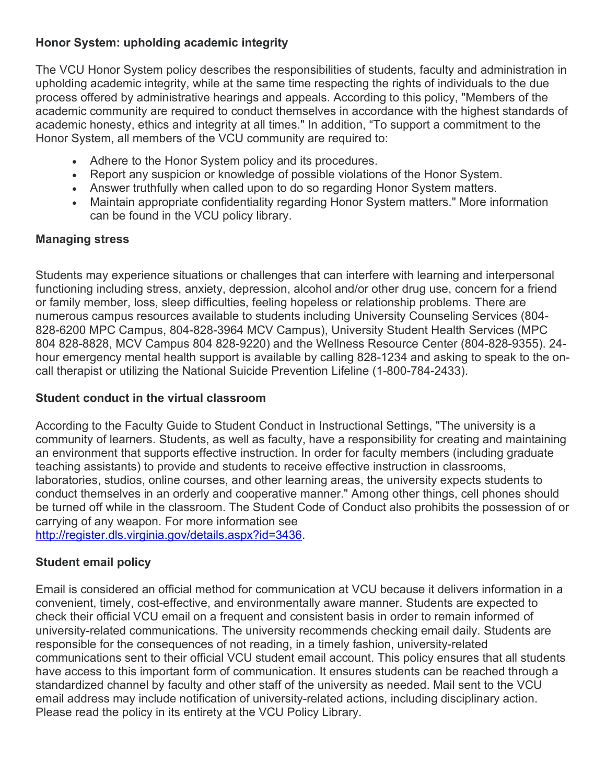#### **Honor System: upholding academic integrity**

The VCU Honor System policy describes the responsibilities of students, faculty and administration in upholding academic integrity, while at the same time respecting the rights of individuals to the due process offered by administrative hearings and appeals. According to this policy, "Members of the academic community are required to conduct themselves in accordance with the highest standards of academic honesty, ethics and integrity at all times." In addition, "To support a commitment to the Honor System, all members of the VCU community are required to:

- Adhere to the Honor System policy and its procedures.
- Report any suspicion or knowledge of possible violations of the Honor System.
- Answer truthfully when called upon to do so regarding Honor System matters.
- Maintain appropriate confidentiality regarding Honor System matters." More information can be found in the VCU policy library.

#### **Managing stress**

Students may experience situations or challenges that can interfere with learning and interpersonal functioning including stress, anxiety, depression, alcohol and/or other drug use, concern for a friend or family member, loss, sleep difficulties, feeling hopeless or relationship problems. There are numerous campus resources available to students including University Counseling Services (804- 828-6200 MPC Campus, 804-828-3964 MCV Campus), University Student Health Services (MPC 804 828-8828, MCV Campus 804 828-9220) and the Wellness Resource Center (804-828-9355). 24 hour emergency mental health support is available by calling 828-1234 and asking to speak to the oncall therapist or utilizing the National Suicide Prevention Lifeline (1-800-784-2433).

#### **Student conduct in the virtual classroom**

According to the Faculty Guide to Student Conduct in Instructional Settings, "The university is a community of learners. Students, as well as faculty, have a responsibility for creating and maintaining an environment that supports effective instruction. In order for faculty members (including graduate teaching assistants) to provide and students to receive effective instruction in classrooms, laboratories, studios, online courses, and other learning areas, the university expects students to conduct themselves in an orderly and cooperative manner." Among other things, cell phones should be turned off while in the classroom. The Student Code of Conduct also prohibits the possession of or carrying of any weapon. For more information see

[http://register.dls.virginia.gov/details.aspx?id=3436.](http://register.dls.virginia.gov/details.aspx?id=3436)

#### **Student email policy**

Email is considered an official method for communication at VCU because it delivers information in a convenient, timely, cost-effective, and environmentally aware manner. Students are expected to check their official VCU email on a frequent and consistent basis in order to remain informed of university-related communications. The university recommends checking email daily. Students are responsible for the consequences of not reading, in a timely fashion, university-related communications sent to their official VCU student email account. This policy ensures that all students have access to this important form of communication. It ensures students can be reached through a standardized channel by faculty and other staff of the university as needed. Mail sent to the VCU email address may include notification of university-related actions, including disciplinary action. Please read the policy in its entirety at the VCU Policy Library.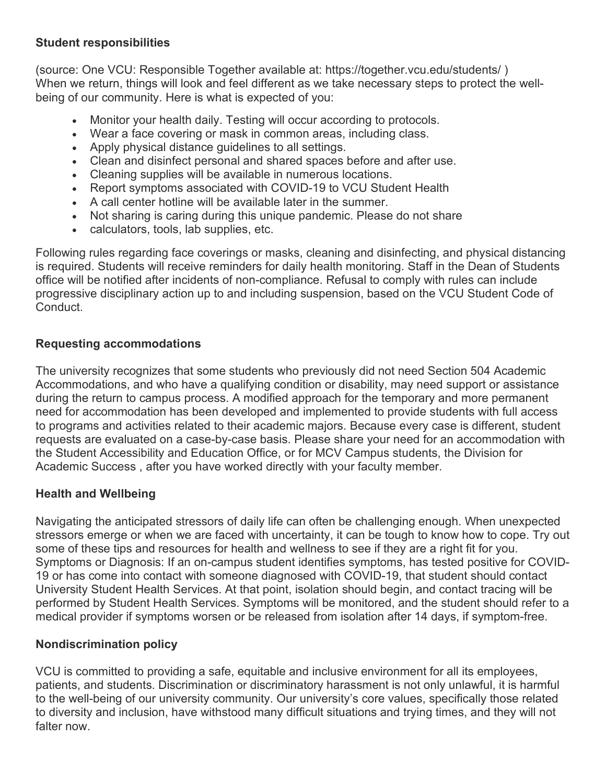#### **Student responsibilities**

(source: One VCU: Responsible Together available at: https://together.vcu.edu/students/ ) When we return, things will look and feel different as we take necessary steps to protect the wellbeing of our community. Here is what is expected of you:

- Monitor your health daily. Testing will occur according to protocols.
- Wear a face covering or mask in common areas, including class.
- Apply physical distance guidelines to all settings.
- Clean and disinfect personal and shared spaces before and after use.
- Cleaning supplies will be available in numerous locations.
- Report symptoms associated with COVID-19 to VCU Student Health
- A call center hotline will be available later in the summer.
- Not sharing is caring during this unique pandemic. Please do not share
- calculators, tools, lab supplies, etc.

Following rules regarding face coverings or masks, cleaning and disinfecting, and physical distancing is required. Students will receive reminders for daily health monitoring. Staff in the Dean of Students office will be notified after incidents of non-compliance. Refusal to comply with rules can include progressive disciplinary action up to and including suspension, based on the VCU Student Code of Conduct.

#### **Requesting accommodations**

The university recognizes that some students who previously did not need Section 504 Academic Accommodations, and who have a qualifying condition or disability, may need support or assistance during the return to campus process. A modified approach for the temporary and more permanent need for accommodation has been developed and implemented to provide students with full access to programs and activities related to their academic majors. Because every case is different, student requests are evaluated on a case-by-case basis. Please share your need for an accommodation with the Student Accessibility and Education Office, or for MCV Campus students, the Division for Academic Success , after you have worked directly with your faculty member.

#### **Health and Wellbeing**

Navigating the anticipated stressors of daily life can often be challenging enough. When unexpected stressors emerge or when we are faced with uncertainty, it can be tough to know how to cope. Try out some of these tips and resources for health and wellness to see if they are a right fit for you. Symptoms or Diagnosis: If an on-campus student identifies symptoms, has tested positive for COVID-19 or has come into contact with someone diagnosed with COVID-19, that student should contact University Student Health Services. At that point, isolation should begin, and contact tracing will be performed by Student Health Services. Symptoms will be monitored, and the student should refer to a medical provider if symptoms worsen or be released from isolation after 14 days, if symptom-free.

#### **Nondiscrimination policy**

VCU is committed to providing a safe, equitable and inclusive environment for all its employees, patients, and students. Discrimination or discriminatory harassment is not only unlawful, it is harmful to the well-being of our university community. Our university's core values, specifically those related to diversity and inclusion, have withstood many difficult situations and trying times, and they will not falter now.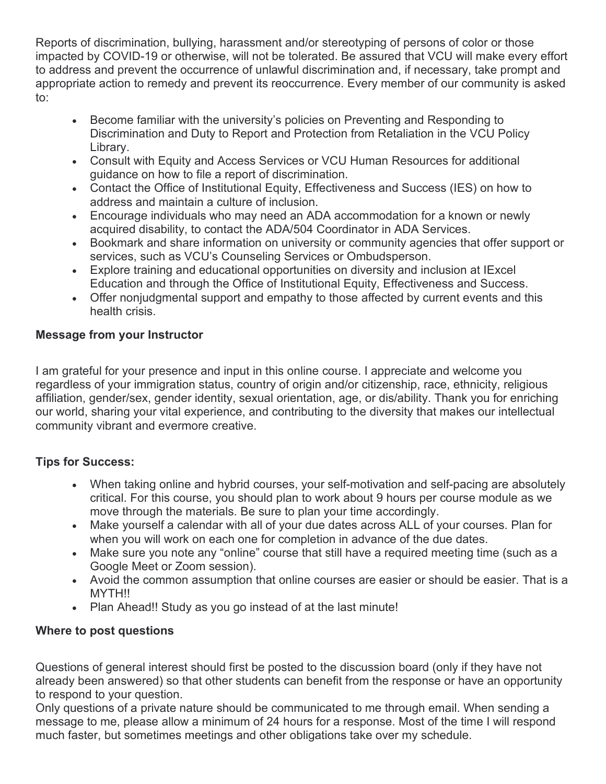Reports of discrimination, bullying, harassment and/or stereotyping of persons of color or those impacted by COVID-19 or otherwise, will not be tolerated. Be assured that VCU will make every effort to address and prevent the occurrence of unlawful discrimination and, if necessary, take prompt and appropriate action to remedy and prevent its reoccurrence. Every member of our community is asked to:

- Become familiar with the university's policies on Preventing and Responding to Discrimination and Duty to Report and Protection from Retaliation in the VCU Policy Library.
- Consult with Equity and Access Services or VCU Human Resources for additional guidance on how to file a report of discrimination.
- Contact the Office of Institutional Equity, Effectiveness and Success (IES) on how to address and maintain a culture of inclusion.
- Encourage individuals who may need an ADA accommodation for a known or newly acquired disability, to contact the ADA/504 Coordinator in ADA Services.
- Bookmark and share information on university or community agencies that offer support or services, such as VCU's Counseling Services or Ombudsperson.
- Explore training and educational opportunities on diversity and inclusion at IExcel Education and through the Office of Institutional Equity, Effectiveness and Success.
- Offer nonjudgmental support and empathy to those affected by current events and this health crisis.

#### **Message from your Instructor**

I am grateful for your presence and input in this online course. I appreciate and welcome you regardless of your immigration status, country of origin and/or citizenship, race, ethnicity, religious affiliation, gender/sex, gender identity, sexual orientation, age, or dis/ability. Thank you for enriching our world, sharing your vital experience, and contributing to the diversity that makes our intellectual community vibrant and evermore creative.

#### **Tips for Success:**

- When taking online and hybrid courses, your self-motivation and self-pacing are absolutely critical. For this course, you should plan to work about 9 hours per course module as we move through the materials. Be sure to plan your time accordingly.
- Make yourself a calendar with all of your due dates across ALL of your courses. Plan for when you will work on each one for completion in advance of the due dates.
- Make sure you note any "online" course that still have a required meeting time (such as a Google Meet or Zoom session).
- Avoid the common assumption that online courses are easier or should be easier. That is a MYTH!!
- Plan Ahead!! Study as you go instead of at the last minute!

#### **Where to post questions**

Questions of general interest should first be posted to the discussion board (only if they have not already been answered) so that other students can benefit from the response or have an opportunity to respond to your question.

Only questions of a private nature should be communicated to me through email. When sending a message to me, please allow a minimum of 24 hours for a response. Most of the time I will respond much faster, but sometimes meetings and other obligations take over my schedule.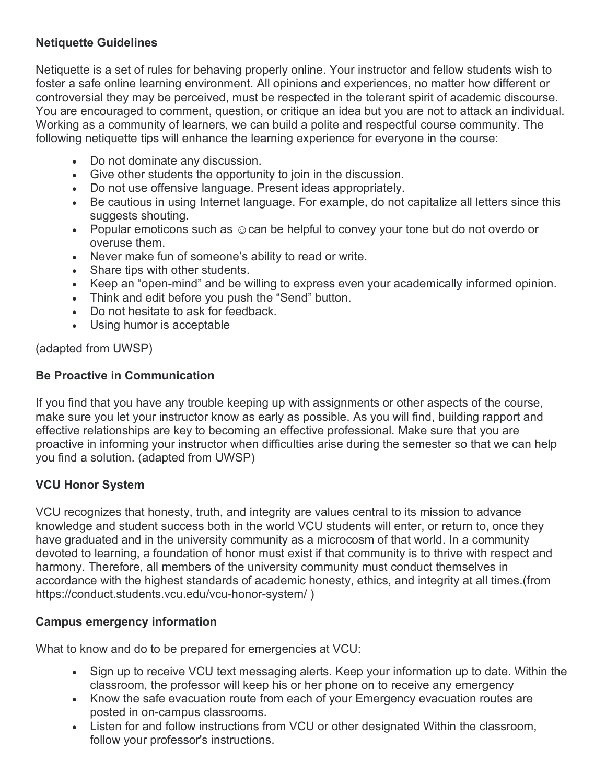#### **Netiquette Guidelines**

Netiquette is a set of rules for behaving properly online. Your instructor and fellow students wish to foster a safe online learning environment. All opinions and experiences, no matter how different or controversial they may be perceived, must be respected in the tolerant spirit of academic discourse. You are encouraged to comment, question, or critique an idea but you are not to attack an individual. Working as a community of learners, we can build a polite and respectful course community. The following netiquette tips will enhance the learning experience for everyone in the course:

- Do not dominate any discussion.
- Give other students the opportunity to join in the discussion.
- Do not use offensive language. Present ideas appropriately.
- Be cautious in using Internet language. For example, do not capitalize all letters since this suggests shouting.
- Popular emoticons such as  $\odot$  can be helpful to convey your tone but do not overdo or overuse them.
- Never make fun of someone's ability to read or write.
- Share tips with other students.
- Keep an "open-mind" and be willing to express even your academically informed opinion.
- Think and edit before you push the "Send" button.
- Do not hesitate to ask for feedback.
- Using humor is acceptable

(adapted from UWSP)

#### **Be Proactive in Communication**

If you find that you have any trouble keeping up with assignments or other aspects of the course, make sure you let your instructor know as early as possible. As you will find, building rapport and effective relationships are key to becoming an effective professional. Make sure that you are proactive in informing your instructor when difficulties arise during the semester so that we can help you find a solution. (adapted from UWSP)

#### **VCU Honor System**

VCU recognizes that honesty, truth, and integrity are values central to its mission to advance knowledge and student success both in the world VCU students will enter, or return to, once they have graduated and in the university community as a microcosm of that world. In a community devoted to learning, a foundation of honor must exist if that community is to thrive with respect and harmony. Therefore, all members of the university community must conduct themselves in accordance with the highest standards of academic honesty, ethics, and integrity at all times.(from https://conduct.students.vcu.edu/vcu-honor-system/ )

#### **Campus emergency information**

What to know and do to be prepared for emergencies at VCU:

- Sign up to receive VCU text messaging alerts. Keep your information up to date. Within the classroom, the professor will keep his or her phone on to receive any emergency
- Know the safe evacuation route from each of your Emergency evacuation routes are posted in on-campus classrooms.
- Listen for and follow instructions from VCU or other designated Within the classroom, follow your professor's instructions.